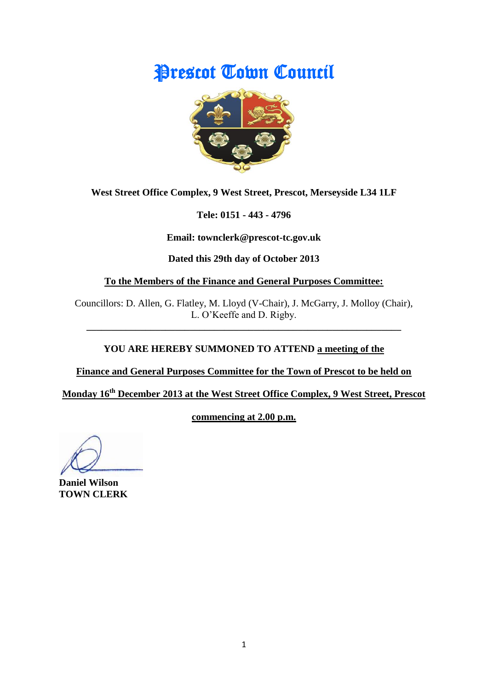# Prescot Town Council



**West Street Office Complex, 9 West Street, Prescot, Merseyside L34 1LF**

**Tele: 0151 - 443 - 4796**

**Email: townclerk@prescot-tc.gov.uk**

**Dated this 29th day of October 2013**

**To the Members of the Finance and General Purposes Committee:**

Councillors: D. Allen, G. Flatley, M. Lloyd (V-Chair), J. McGarry, J. Molloy (Chair), L. O'Keeffe and D. Rigby.

**\_\_\_\_\_\_\_\_\_\_\_\_\_\_\_\_\_\_\_\_\_\_\_\_\_\_\_\_\_\_\_\_\_\_\_\_\_\_\_\_\_\_\_\_\_\_\_\_\_\_\_\_\_\_\_\_\_\_\_\_\_\_\_\_**

## **YOU ARE HEREBY SUMMONED TO ATTEND a meeting of the**

**Finance and General Purposes Committee for the Town of Prescot to be held on** 

**Monday 16th December 2013 at the West Street Office Complex, 9 West Street, Prescot** 

**commencing at 2.00 p.m.**

**Daniel Wilson TOWN CLERK**